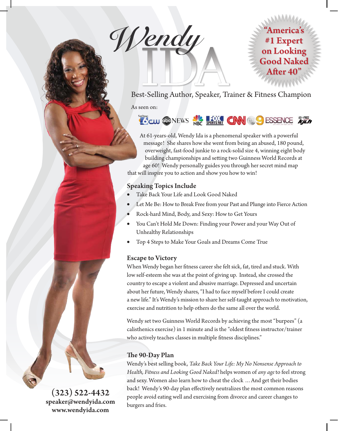**Wendy**



Best-Selling Author, Speaker, Trainer & Fitness Champion As seen on:



At 61-years-old, Wendy Ida is a phenomenal speaker with a powerful message! She shares how she went from being an abused, 180 pound, overweight, fast-food junkie to a rock-solid size 4, winning eight body building championships and setting two Guinness World Records at age 60! Wendy personally guides you through her secret mind map that will inspire you to action and show you how to win!

# **Speaking Topics Include**

- Take Back Your Life and Look Good Naked
- Let Me Be: How to Break Free from your Past and Plunge into Fierce Action
- Rock-hard Mind, Body, and Sexy: How to Get Yours
- You Can't Hold Me Down: Finding your Power and your Way Out of Unhealthy Relationships
- Top 4 Steps to Make Your Goals and Dreams Come True

### **Escape to Victory**

When Wendy began her fitness career she felt sick, fat, tired and stuck. With low self-esteem she was at the point of giving up. Instead, she crossed the country to escape a violent and abusive marriage. Depressed and uncertain about her future, Wendy shares, "I had to face myself before I could create a new life." It's Wendy's mission to share her self-taught approach to motivation, exercise and nutrition to help others do the same all over the world.

Wendy set two Guinness World Records by achieving the most "burpees" (a calisthenics exercise) in 1 minute and is the "oldest fitness instructor/trainer who actively teaches classes in multiple fitness disciplines."

### **The 90-Day Plan**

Wendy's best selling book, *Take Back Your Life: My No Nonsense Approach to Health, Fitness and Looking Good Naked!* helps women of *any age* to feel strong and sexy. Women also learn how to cheat the clock …And get their bodies back! Wendy's 90-day plan effectively neutralizes the most common reasons people avoid eating well and exercising from divorce and career changes to burgers and fries.

**(323) 522-4432 speaker@wendyida.com www.wendyida.com**